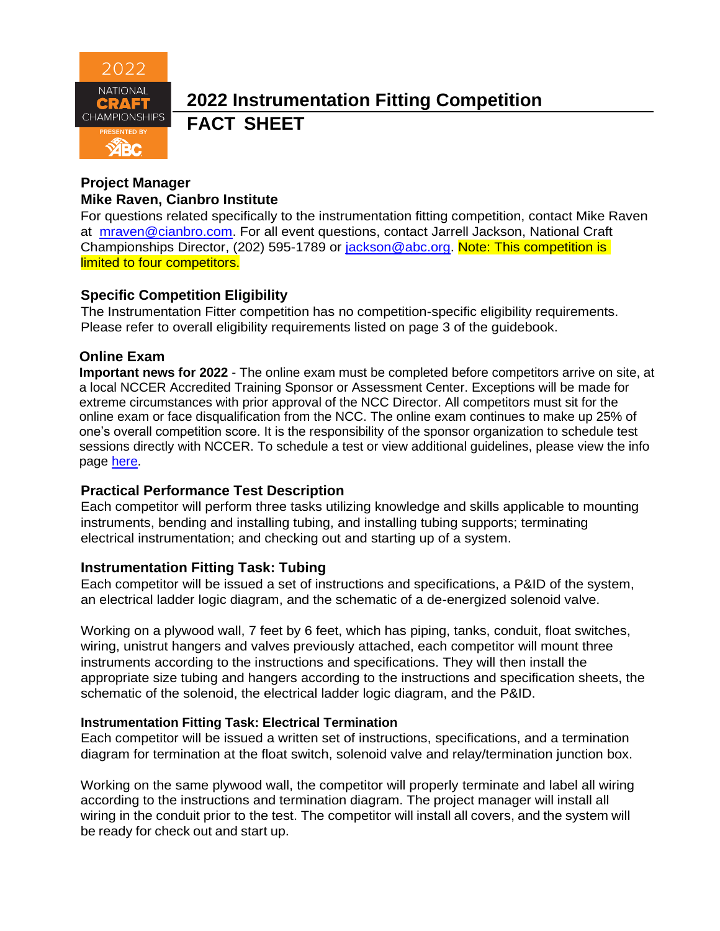

# **2022 Instrumentation Fitting Competition FACT SHEET**

### **Project Manager Mike Raven, Cianbro Institute**

For questions related specifically to the instrumentation fitting competition, contact Mike Raven at [mraven@cianbro.com.](mailto:mraven@cianbro.com) For all event questions, contact Jarrell Jackson, National Craft Championships Director, (202) 595-1789 or [jackson@abc.org.](mailto:jackson@abc.org) Note: This competition is limited to four competitors.

## **Specific Competition Eligibility**

The Instrumentation Fitter competition has no competition-specific eligibility requirements. Please refer to overall eligibility requirements listed on page 3 of the guidebook.

## **Online Exam**

**Important news for 2022** - The online exam must be completed before competitors arrive on site, at a local NCCER Accredited Training Sponsor or Assessment Center. Exceptions will be made for extreme circumstances with prior approval of the NCC Director. All competitors must sit for the online exam or face disqualification from the NCC. The online exam continues to make up 25% of one's overall competition score. It is the responsibility of the sponsor organization to schedule test sessions directly with NCCER. To schedule a test or view additional guidelines, please view the info page [here.](https://abc.org/Portals/1/NCC/National%20Craft%20Championship%20Testing%20Overview%20and%20Registration.pdf?ver=2022-01-31-154655-600)

#### **Practical Performance Test Description**

Each competitor will perform three tasks utilizing knowledge and skills applicable to mounting instruments, bending and installing tubing, and installing tubing supports; terminating electrical instrumentation; and checking out and starting up of a system.

## **Instrumentation Fitting Task: Tubing**

Each competitor will be issued a set of instructions and specifications, a P&ID of the system, an electrical ladder logic diagram, and the schematic of a de-energized solenoid valve.

Working on a plywood wall, 7 feet by 6 feet, which has piping, tanks, conduit, float switches, wiring, unistrut hangers and valves previously attached, each competitor will mount three instruments according to the instructions and specifications. They will then install the appropriate size tubing and hangers according to the instructions and specification sheets, the schematic of the solenoid, the electrical ladder logic diagram, and the P&ID.

#### **Instrumentation Fitting Task: Electrical Termination**

Each competitor will be issued a written set of instructions, specifications, and a termination diagram for termination at the float switch, solenoid valve and relay/termination junction box.

Working on the same plywood wall, the competitor will properly terminate and label all wiring according to the instructions and termination diagram. The project manager will install all wiring in the conduit prior to the test. The competitor will install all covers, and the system will be ready for check out and start up.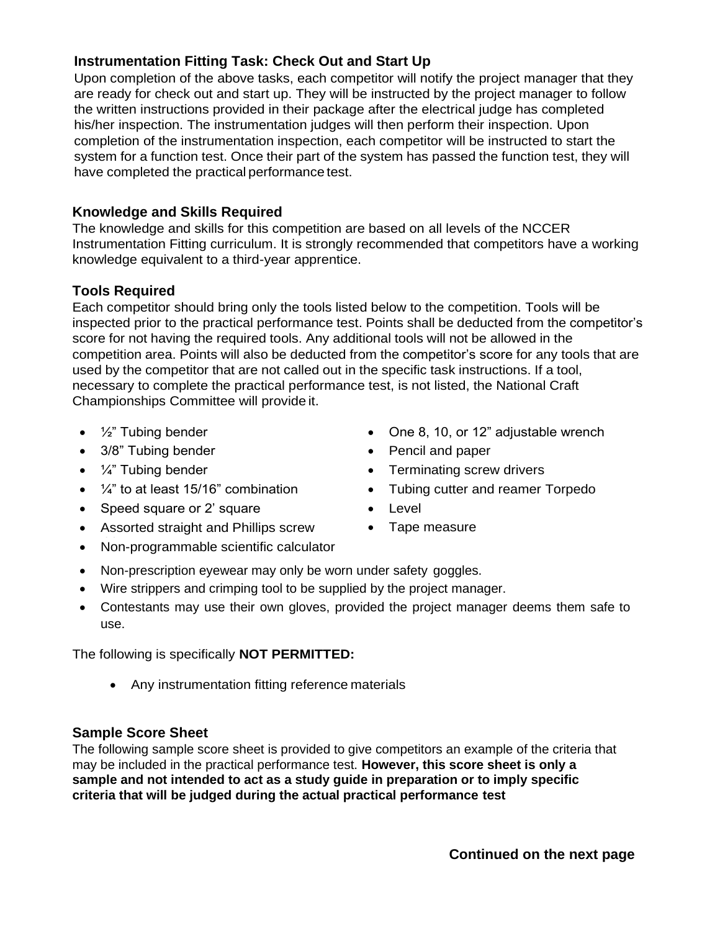## **Instrumentation Fitting Task: Check Out and Start Up**

Upon completion of the above tasks, each competitor will notify the project manager that they are ready for check out and start up. They will be instructed by the project manager to follow the written instructions provided in their package after the electrical judge has completed his/her inspection. The instrumentation judges will then perform their inspection. Upon completion of the instrumentation inspection, each competitor will be instructed to start the system for a function test. Once their part of the system has passed the function test, they will have completed the practical performance test.

## **Knowledge and Skills Required**

The knowledge and skills for this competition are based on all levels of the NCCER Instrumentation Fitting curriculum. It is strongly recommended that competitors have a working knowledge equivalent to a third-year apprentice.

## **Tools Required**

Each competitor should bring only the tools listed below to the competition. Tools will be inspected prior to the practical performance test. Points shall be deducted from the competitor's score for not having the required tools. Any additional tools will not be allowed in the competition area. Points will also be deducted from the competitor's score for any tools that are used by the competitor that are not called out in the specific task instructions. If a tool, necessary to complete the practical performance test, is not listed, the National Craft Championships Committee will provide it.

- 
- 3/8" Tubing bender **•** Pencil and paper
- 
- $\frac{1}{4}$ " to at least 15/16" combination
- Speed square or 2' square **•** Level
- Assorted straight and Phillips screw
- Non-programmable scientific calculator
- $\frac{1}{2}$ " Tubing bender Cne 8, 10, or 12" adjustable wrench
	-
- $\frac{1}{4}$ " Tubing bender **•** Terminating screw drivers
	- Tubing cutter and reamer Torpedo
	-
	- Tape measure
- Non-prescription eyewear may only be worn under safety goggles.
- Wire strippers and crimping tool to be supplied by the project manager.
- Contestants may use their own gloves, provided the project manager deems them safe to use.

The following is specifically **NOT PERMITTED:**

• Any instrumentation fitting reference materials

#### **Sample Score Sheet**

The following sample score sheet is provided to give competitors an example of the criteria that may be included in the practical performance test. **However, this score sheet is only a sample and not intended to act as a study guide in preparation or to imply specific criteria that will be judged during the actual practical performance test**